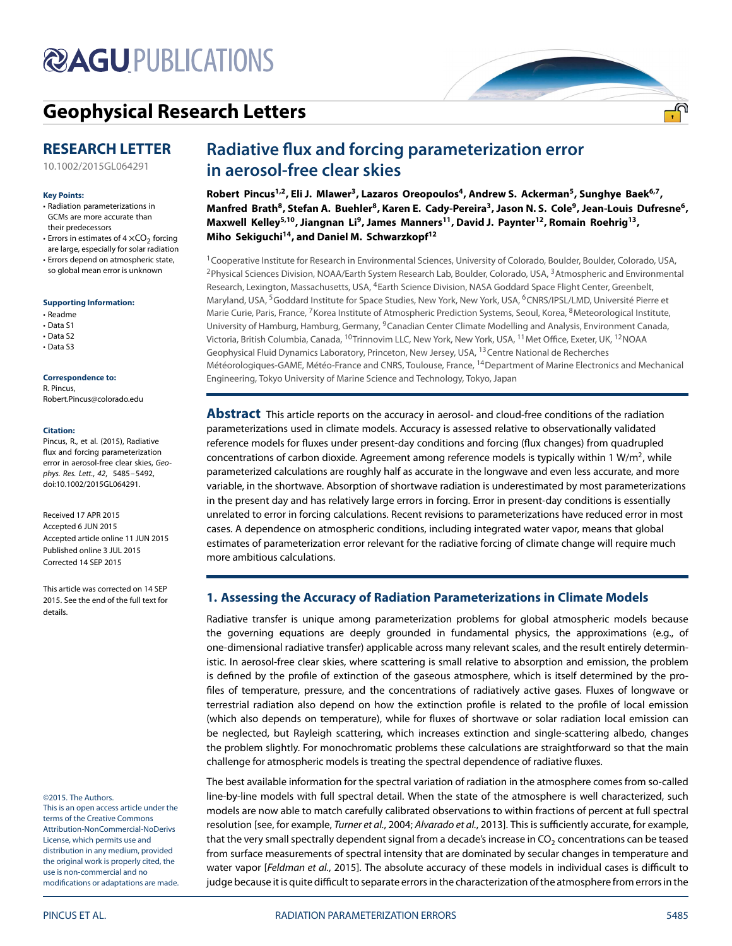# **@AGUPUBLICATIONS**

# **[Geophysical Research Letters](http://onlinelibrary.wiley.com/journal/10.1002/(ISSN)1944-8007)**

## **RESEARCH LETTER**

[10.1002/2015GL064291](http://dx.doi.org/10.1002/2015GL064291)

### **Key Points:**

- Radiation parameterizations in GCMs are more accurate than their predecessors
- Errors in estimates of  $4 \times CO<sub>2</sub>$  forcing are large, especially for solar radiation
- Errors depend on atmospheric state, so global mean error is unknown

### **[Supporting Information:](http://dx.doi.org/10.1002/2015GL064291)**

- Readme
- Data S1
- Data S2
- Data S3

### **Correspondence to:**

R. Pincus, Robert.Pincus@colorado.edu

#### **Citation:**

Pincus, R., et al. (2015), Radiative flux and forcing parameterization error in aerosol-free clear skies, Geophys. Res. Lett., 42, 5485–5492, doi:10.1002/2015GL064291.

Received 17 APR 2015 Accepted 6 JUN 2015 Accepted article online 11 JUN 2015 Published online 3 JUL 2015 Corrected 14 SEP 2015

This article was corrected on 14 SEP 2015. See the end of the full text for details.

#### ©2015. The Authors.

This is an open access article under the terms of the [Creative Commons](http://creativecommons.org/licenses/by-nc-nd/3.0/) Attribution-NonCommercial-NoDerivs License, which permits use and distribution in any medium, provided the original work is properly cited, the use is non-commercial and no modifications or adaptations are made.

# **Radiative flux and forcing parameterization error in aerosol-free clear skies**

Robert Pincus<sup>1,2</sup>, Eli J. Mlawer<sup>3</sup>, Lazaros Oreopoulos<sup>4</sup>, Andrew S. Ackerman<sup>5</sup>, Sunghye Baek<sup>6,7</sup>, Manfred Brath<sup>8</sup>, Stefan A. Buehler<sup>8</sup>, Karen E. Cady-Pereira<sup>3</sup>, Jason N. S. Cole<sup>9</sup>, Jean-Louis Dufresne<sup>6</sup>, Maxwell Kelley<sup>5,10</sup>, Jiangnan Li<sup>9</sup>, James Manners<sup>11</sup>, David J. Paynter<sup>12</sup>, Romain Roehrig<sup>13</sup>, **Miho Sekiguchi14, and Daniel M. Schwarzkopf12**

<sup>1</sup>Cooperative Institute for Research in Environmental Sciences, University of Colorado, Boulder, Boulder, Colorado, USA, <sup>2</sup> Physical Sciences Division, NOAA/Earth System Research Lab, Boulder, Colorado, USA, <sup>3</sup> Atmospheric and Environmental Research, Lexington, Massachusetts, USA, <sup>4</sup>Earth Science Division, NASA Goddard Space Flight Center, Greenbelt, Maryland, USA, <sup>5</sup>Goddard Institute for Space Studies, New York, New York, USA, <sup>6</sup>CNRS/IPSL/LMD, Université Pierre et Marie Curie, Paris, France, <sup>7</sup>Korea Institute of Atmospheric Prediction Systems, Seoul, Korea, <sup>8</sup>Meteorological Institute, University of Hamburg, Hamburg, Germany, 9Canadian Center Climate Modelling and Analysis, Environment Canada, Victoria, British Columbia, Canada, 10Trinnovim LLC, New York, New York, USA, 11Met Office, Exeter, UK, 12NOAA Geophysical Fluid Dynamics Laboratory, Princeton, New Jersey, USA, <sup>13</sup> Centre National de Recherches Météorologiques-GAME, Météo-France and CNRS, Toulouse, France, 14Department of Marine Electronics and Mechanical Engineering, Tokyo University of Marine Science and Technology, Tokyo, Japan

**Abstract** This article reports on the accuracy in aerosol- and cloud-free conditions of the radiation parameterizations used in climate models. Accuracy is assessed relative to observationally validated reference models for fluxes under present-day conditions and forcing (flux changes) from quadrupled concentrations of carbon dioxide. Agreement among reference models is typically within 1 W/m<sup>2</sup>, while parameterized calculations are roughly half as accurate in the longwave and even less accurate, and more variable, in the shortwave. Absorption of shortwave radiation is underestimated by most parameterizations in the present day and has relatively large errors in forcing. Error in present-day conditions is essentially unrelated to error in forcing calculations. Recent revisions to parameterizations have reduced error in most cases. A dependence on atmospheric conditions, including integrated water vapor, means that global estimates of parameterization error relevant for the radiative forcing of climate change will require much more ambitious calculations.

### **1. Assessing the Accuracy of Radiation Parameterizations in Climate Models**

Radiative transfer is unique among parameterization problems for global atmospheric models because the governing equations are deeply grounded in fundamental physics, the approximations (e.g., of one-dimensional radiative transfer) applicable across many relevant scales, and the result entirely deterministic. In aerosol-free clear skies, where scattering is small relative to absorption and emission, the problem is defined by the profile of extinction of the gaseous atmosphere, which is itself determined by the profiles of temperature, pressure, and the concentrations of radiatively active gases. Fluxes of longwave or terrestrial radiation also depend on how the extinction profile is related to the profile of local emission (which also depends on temperature), while for fluxes of shortwave or solar radiation local emission can be neglected, but Rayleigh scattering, which increases extinction and single-scattering albedo, changes the problem slightly. For monochromatic problems these calculations are straightforward so that the main challenge for atmospheric models is treating the spectral dependence of radiative fluxes.

The best available information for the spectral variation of radiation in the atmosphere comes from so-called line-by-line models with full spectral detail. When the state of the atmosphere is well characterized, such models are now able to match carefully calibrated observations to within fractions of percent at full spectral resolution [see, for example, Turner et al., [2004;](#page-7-0) Alvarado et al., [2013\]](#page-6-0). This is sufficiently accurate, for example, that the very small spectrally dependent signal from a decade's increase in CO<sub>2</sub> concentrations can be teased from surface measurements of spectral intensity that are dominated by secular changes in temperature and water vapor [Feldman et al., [2015\]](#page-6-1). The absolute accuracy of these models in individual cases is difficult to judge because it is quite difficult to separate errors in the characterization of the atmosphere from errors in the

<u>.എ</u>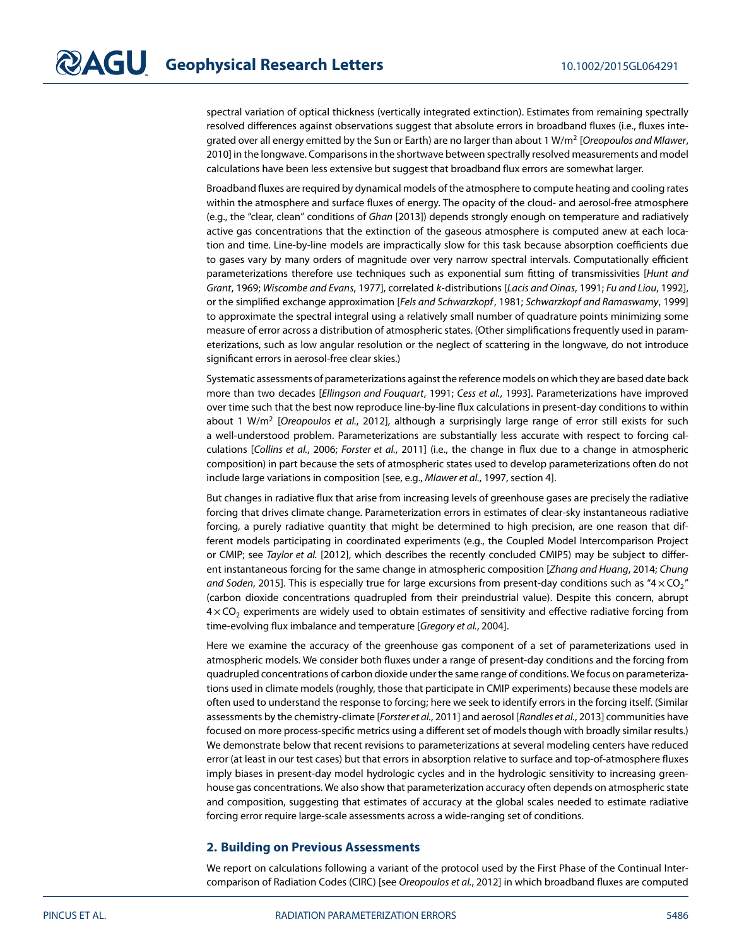spectral variation of optical thickness (vertically integrated extinction). Estimates from remaining spectrally resolved differences against observations suggest that absolute errors in broadband fluxes (i.e., fluxes integrated over all energy emitted by the Sun or Earth) are no larger than about 1 W/m<sup>2</sup> [Oreopoulos and Mlawer, [2010\]](#page-7-1) in the longwave. Comparisons in the shortwave between spectrally resolved measurements and model calculations have been less extensive but suggest that broadband flux errors are somewhat larger.

Broadband fluxes are required by dynamical models of the atmosphere to compute heating and cooling rates within the atmosphere and surface fluxes of energy. The opacity of the cloud- and aerosol-free atmosphere (e.g., the "clear, clean" conditions of Ghan [\[2013\]](#page-6-2)) depends strongly enough on temperature and radiatively active gas concentrations that the extinction of the gaseous atmosphere is computed anew at each location and time. Line-by-line models are impractically slow for this task because absorption coefficients due to gases vary by many orders of magnitude over very narrow spectral intervals. Computationally efficient parameterizations therefore use techniques such as exponential sum fitting of transmissivities [Hunt and Grant, [1969;](#page-6-3) Wiscombe and Evans, [1977\]](#page-7-2), correlated k-distributions [Lacis and Oinas, [1991;](#page-6-4) Fu and Liou, [1992\]](#page-6-5), or the simplified exchange approximation [Fels and Schwarzkopf, [1981;](#page-6-6) Schwarzkopf and Ramaswamy, [1999\]](#page-7-3) to approximate the spectral integral using a relatively small number of quadrature points minimizing some measure of error across a distribution of atmospheric states. (Other simplifications frequently used in parameterizations, such as low angular resolution or the neglect of scattering in the longwave, do not introduce significant errors in aerosol-free clear skies.)

Systematic assessments of parameterizations against the reference models on which they are based date back more than two decades [Ellingson and Fouquart, [1991;](#page-6-7) Cess et al., [1993\]](#page-6-8). Parameterizations have improved over time such that the best now reproduce line-by-line flux calculations in present-day conditions to within about 1 W/m<sup>2</sup> [Oreopoulos et al., [2012\]](#page-7-4), although a surprisingly large range of error still exists for such a well-understood problem. Parameterizations are substantially less accurate with respect to forcing calculations [Collins et al., [2006;](#page-6-9) Forster et al., [2011\]](#page-6-10) (i.e., the change in flux due to a change in atmospheric composition) in part because the sets of atmospheric states used to develop parameterizations often do not include large variations in composition [see, e.g., Mlawer et al., [1997,](#page-6-11) section 4].

But changes in radiative flux that arise from increasing levels of greenhouse gases are precisely the radiative forcing that drives climate change. Parameterization errors in estimates of clear-sky instantaneous radiative forcing, a purely radiative quantity that might be determined to high precision, are one reason that different models participating in coordinated experiments (e.g., the Coupled Model Intercomparison Project or CMIP; see Taylor et al. [\[2012\]](#page-7-5), which describes the recently concluded CMIP5) may be subject to differ-ent instantaneous forcing for the same change in atmospheric composition [Zhang and Huang, [2014;](#page-7-6) Chung and Soden, [2015\]](#page-6-12). This is especially true for large excursions from present-day conditions such as "4  $\times$  CO<sub>2</sub>" (carbon dioxide concentrations quadrupled from their preindustrial value). Despite this concern, abrupt  $4 \times$  CO<sub>2</sub> experiments are widely used to obtain estimates of sensitivity and effective radiative forcing from time-evolving flux imbalance and temperature [Gregory et al., [2004\]](#page-6-13).

Here we examine the accuracy of the greenhouse gas component of a set of parameterizations used in atmospheric models. We consider both fluxes under a range of present-day conditions and the forcing from quadrupled concentrations of carbon dioxide under the same range of conditions. We focus on parameterizations used in climate models (roughly, those that participate in CMIP experiments) because these models are often used to understand the response to forcing; here we seek to identify errors in the forcing itself. (Similar assessments by the chemistry-climate [Forster et al., [2011\]](#page-6-10) and aerosol [Randles et al., [2013\]](#page-7-7) communities have focused on more process-specific metrics using a different set of models though with broadly similar results.) We demonstrate below that recent revisions to parameterizations at several modeling centers have reduced error (at least in our test cases) but that errors in absorption relative to surface and top-of-atmosphere fluxes imply biases in present-day model hydrologic cycles and in the hydrologic sensitivity to increasing greenhouse gas concentrations. We also show that parameterization accuracy often depends on atmospheric state and composition, suggesting that estimates of accuracy at the global scales needed to estimate radiative forcing error require large-scale assessments across a wide-ranging set of conditions.

### **2. Building on Previous Assessments**

We report on calculations following a variant of the protocol used by the First Phase of the Continual Intercomparison of Radiation Codes (CIRC) [see Oreopoulos et al., [2012\]](#page-7-4) in which broadband fluxes are computed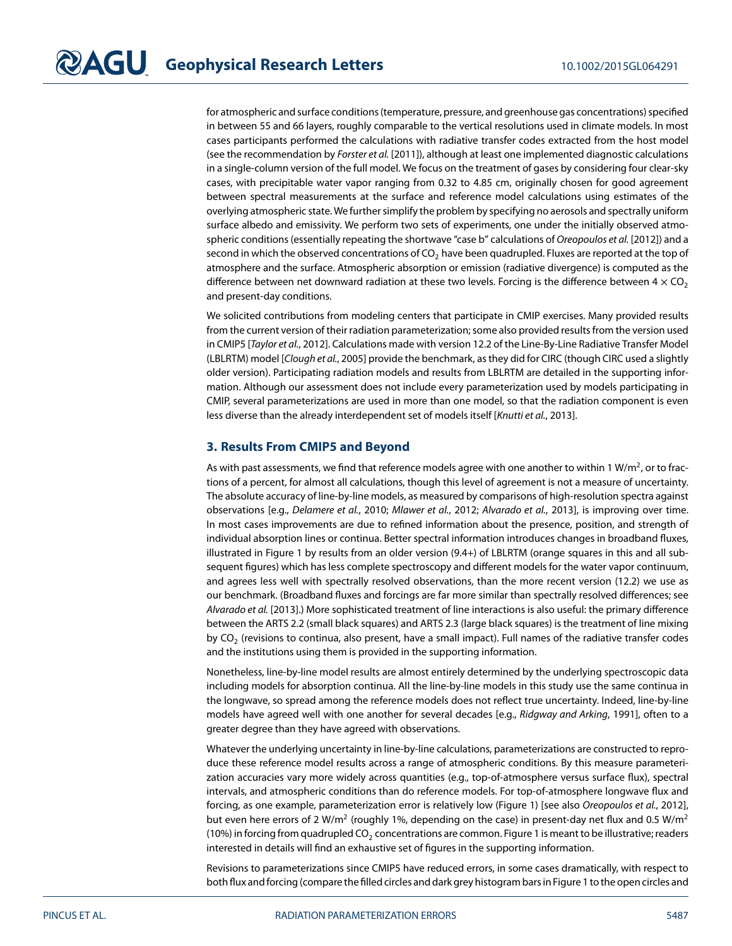for atmospheric and surface conditions (temperature, pressure, and greenhouse gas concentrations) specified in between 55 and 66 layers, roughly comparable to the vertical resolutions used in climate models. In most cases participants performed the calculations with radiative transfer codes extracted from the host model (see the recommendation by Forster et al. [\[2011\]](#page-6-10)), although at least one implemented diagnostic calculations in a single-column version of the full model. We focus on the treatment of gases by considering four clear-sky cases, with precipitable water vapor ranging from 0.32 to 4.85 cm, originally chosen for good agreement between spectral measurements at the surface and reference model calculations using estimates of the overlying atmospheric state. We further simplify the problem by specifying no aerosols and spectrally uniform surface albedo and emissivity. We perform two sets of experiments, one under the initially observed atmo-spheric conditions (essentially repeating the shortwave "case b" calculations of Oreopoulos et al. [\[2012\]](#page-7-4)) and a second in which the observed concentrations of  $CO<sub>2</sub>$  have been quadrupled. Fluxes are reported at the top of atmosphere and the surface. Atmospheric absorption or emission (radiative divergence) is computed as the difference between net downward radiation at these two levels. Forcing is the difference between  $4 \times CO<sub>2</sub>$ and present-day conditions.

We solicited contributions from modeling centers that participate in CMIP exercises. Many provided results from the current version of their radiation parameterization; some also provided results from the version used in CMIP5 [Taylor et al., [2012\]](#page-7-5). Calculations made with version 12.2 of the Line-By-Line Radiative Transfer Model (LBLRTM) model [Clough et al., [2005\]](#page-6-14) provide the benchmark, as they did for CIRC (though CIRC used a slightly older version). Participating radiation models and results from LBLRTM are detailed in the supporting information. Although our assessment does not include every parameterization used by models participating in CMIP, several parameterizations are used in more than one model, so that the radiation component is even less diverse than the already interdependent set of models itself [Knutti et al., [2013\]](#page-6-15).

### **3. Results From CMIP5 and Beyond**

As with past assessments, we find that reference models agree with one another to within 1 W/m<sup>2</sup>, or to fractions of a percent, for almost all calculations, though this level of agreement is not a measure of uncertainty. The absolute accuracy of line-by-line models, as measured by comparisons of high-resolution spectra against observations [e.g., Delamere et al., [2010;](#page-6-16) Mlawer et al., [2012;](#page-6-17) Alvarado et al., [2013\]](#page-6-0), is improving over time. In most cases improvements are due to refined information about the presence, position, and strength of individual absorption lines or continua. Better spectral information introduces changes in broadband fluxes, illustrated in Figure [1](#page-3-0) by results from an older version (9.4+) of LBLRTM (orange squares in this and all subsequent figures) which has less complete spectroscopy and different models for the water vapor continuum, and agrees less well with spectrally resolved observations, than the more recent version (12.2) we use as our benchmark. (Broadband fluxes and forcings are far more similar than spectrally resolved differences; see Alvarado et al. [\[2013\]](#page-6-0).) More sophisticated treatment of line interactions is also useful: the primary difference between the ARTS 2.2 (small black squares) and ARTS 2.3 (large black squares) is the treatment of line mixing by  $CO<sub>2</sub>$  (revisions to continua, also present, have a small impact). Full names of the radiative transfer codes and the institutions using them is provided in the supporting information.

Nonetheless, line-by-line model results are almost entirely determined by the underlying spectroscopic data including models for absorption continua. All the line-by-line models in this study use the same continua in the longwave, so spread among the reference models does not reflect true uncertainty. Indeed, line-by-line models have agreed well with one another for several decades [e.g., Ridgway and Arking, [1991\]](#page-7-8), often to a greater degree than they have agreed with observations.

Whatever the underlying uncertainty in line-by-line calculations, parameterizations are constructed to reproduce these reference model results across a range of atmospheric conditions. By this measure parameterization accuracies vary more widely across quantities (e.g., top-of-atmosphere versus surface flux), spectral intervals, and atmospheric conditions than do reference models. For top-of-atmosphere longwave flux and forcing, as one example, parameterization error is relatively low (Figure [1\)](#page-3-0) [see also Oreopoulos et al., [2012\]](#page-7-4), but even here errors of 2 W/m<sup>2</sup> (roughly 1%, depending on the case) in present-day net flux and 0.5 W/m<sup>2</sup> (10%) in forcing from quadrupled CO<sub>2</sub> concentrations are common. Figure [1](#page-3-0) is meant to be illustrative; readers interested in details will find an exhaustive set of figures in the supporting information.

Revisions to parameterizations since CMIP5 have reduced errors, in some cases dramatically, with respect to both flux and forcing (compare the filled circles and dark grey histogram bars in Figur[e 1](#page-3-0) to the open circles and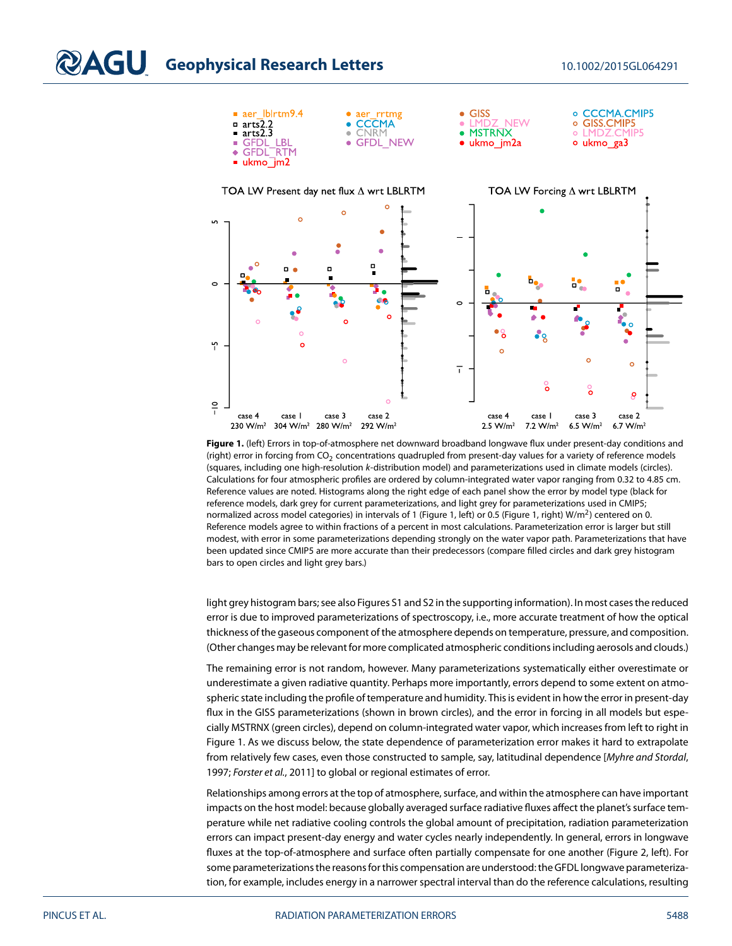

<span id="page-3-0"></span>**Figure 1.** (left) Errors in top-of-atmosphere net downward broadband longwave flux under present-day conditions and (right) error in forcing from  $CO<sub>2</sub>$  concentrations quadrupled from present-day values for a variety of reference models (squares, including one high-resolution k-distribution model) and parameterizations used in climate models (circles). Calculations for four atmospheric profiles are ordered by column-integrated water vapor ranging from 0.32 to 4.85 cm. Reference values are noted. Histograms along the right edge of each panel show the error by model type (black for reference models, dark grey for current parameterizations, and light grey for parameterizations used in CMIP5; normalized across model categories) in intervals of 1 (Figure [1,](#page-3-0) left) or 0.5 (Figure 1, right) W/m<sup>2</sup>) centered on 0. Reference models agree to within fractions of a percent in most calculations. Parameterization error is larger but still modest, with error in some parameterizations depending strongly on the water vapor path. Parameterizations that have been updated since CMIP5 are more accurate than their predecessors (compare filled circles and dark grey histogram bars to open circles and light grey bars.)

light grey histogram bars; see also Figures S1 and S2 in the supporting information). In most cases the reduced error is due to improved parameterizations of spectroscopy, i.e., more accurate treatment of how the optical thickness of the gaseous component of the atmosphere depends on temperature, pressure, and composition. (Other changes may be relevant for more complicated atmospheric conditions including aerosols and clouds.)

The remaining error is not random, however. Many parameterizations systematically either overestimate or underestimate a given radiative quantity. Perhaps more importantly, errors depend to some extent on atmospheric state including the profile of temperature and humidity. This is evident in how the error in present-day flux in the GISS parameterizations (shown in brown circles), and the error in forcing in all models but especially MSTRNX (green circles), depend on column-integrated water vapor, which increases from left to right in Figure [1.](#page-3-0) As we discuss below, the state dependence of parameterization error makes it hard to extrapolate from relatively few cases, even those constructed to sample, say, latitudinal dependence [Myhre and Stordal, [1997;](#page-6-18) Forster et al., [2011\]](#page-6-10) to global or regional estimates of error.

Relationships among errors at the top of atmosphere, surface, and within the atmosphere can have important impacts on the host model: because globally averaged surface radiative fluxes affect the planet's surface temperature while net radiative cooling controls the global amount of precipitation, radiation parameterization errors can impact present-day energy and water cycles nearly independently. In general, errors in longwave fluxes at the top-of-atmosphere and surface often partially compensate for one another (Figure [2,](#page-4-0) left). For some parameterizations the reasons for this compensation are understood: the GFDL longwave parameterization, for example, includes energy in a narrower spectral interval than do the reference calculations, resulting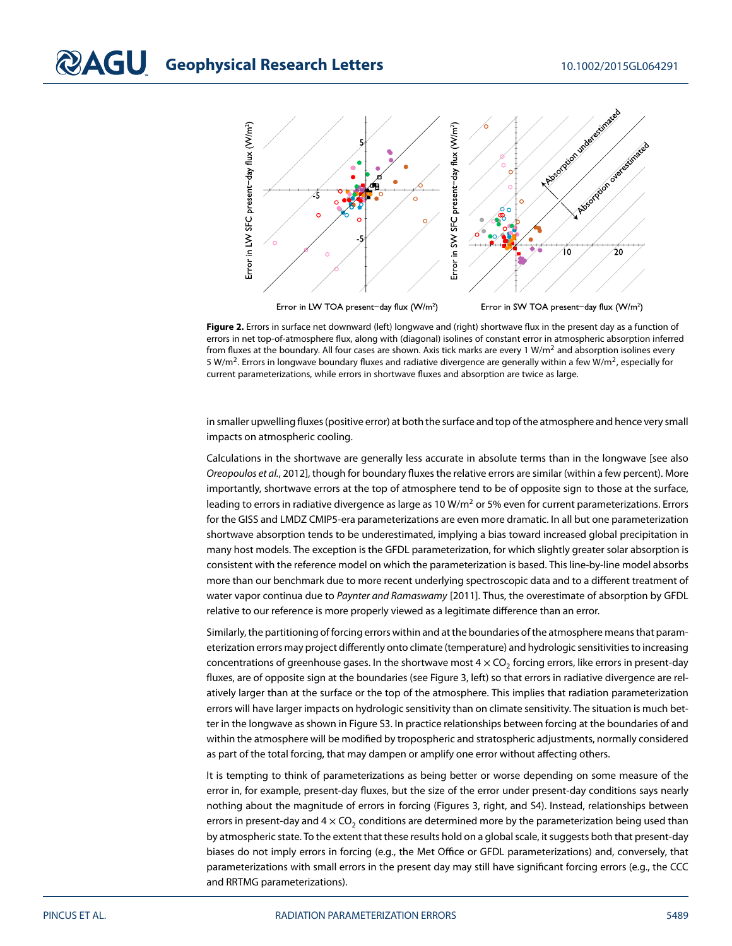

<span id="page-4-0"></span>Error in LW TOA present-day flux (W/m<sup>2</sup>)

Error in SW TOA present-day flux (W/m<sup>2</sup>)

**Figure 2.** Errors in surface net downward (left) longwave and (right) shortwave flux in the present day as a function of errors in net top-of-atmosphere flux, along with (diagonal) isolines of constant error in atmospheric absorption inferred from fluxes at the boundary. All four cases are shown. Axis tick marks are every 1 W/m<sup>2</sup> and absorption isolines every 5 W/m<sup>2</sup>. Errors in longwave boundary fluxes and radiative divergence are generally within a few W/m<sup>2</sup>, especially for current parameterizations, while errors in shortwave fluxes and absorption are twice as large.

in smaller upwelling fluxes (positive error) at both the surface and top of the atmosphere and hence very small impacts on atmospheric cooling.

Calculations in the shortwave are generally less accurate in absolute terms than in the longwave [see also Oreopoulos et al., [2012\]](#page-7-4), though for boundary fluxes the relative errors are similar (within a few percent). More importantly, shortwave errors at the top of atmosphere tend to be of opposite sign to those at the surface, leading to errors in radiative divergence as large as 10 W/m<sup>2</sup> or 5% even for current parameterizations. Errors for the GISS and LMDZ CMIP5-era parameterizations are even more dramatic. In all but one parameterization shortwave absorption tends to be underestimated, implying a bias toward increased global precipitation in many host models. The exception is the GFDL parameterization, for which slightly greater solar absorption is consistent with the reference model on which the parameterization is based. This line-by-line model absorbs more than our benchmark due to more recent underlying spectroscopic data and to a different treatment of water vapor continua due to Paynter and Ramaswamy [\[2011\]](#page-7-9). Thus, the overestimate of absorption by GFDL relative to our reference is more properly viewed as a legitimate difference than an error.

Similarly, the partitioning of forcing errors within and at the boundaries of the atmosphere means that parameterization errors may project differently onto climate (temperature) and hydrologic sensitivities to increasing concentrations of greenhouse gases. In the shortwave most  $4 \times CO<sub>2</sub>$  forcing errors, like errors in present-day fluxes, are of opposite sign at the boundaries (see Figure [3,](#page-5-0) left) so that errors in radiative divergence are relatively larger than at the surface or the top of the atmosphere. This implies that radiation parameterization errors will have larger impacts on hydrologic sensitivity than on climate sensitivity. The situation is much better in the longwave as shown in Figure S3. In practice relationships between forcing at the boundaries of and within the atmosphere will be modified by tropospheric and stratospheric adjustments, normally considered as part of the total forcing, that may dampen or amplify one error without affecting others.

It is tempting to think of parameterizations as being better or worse depending on some measure of the error in, for example, present-day fluxes, but the size of the error under present-day conditions says nearly nothing about the magnitude of errors in forcing (Figures [3,](#page-5-0) right, and S4). Instead, relationships between errors in present-day and  $4 \times CO<sub>2</sub>$  conditions are determined more by the parameterization being used than by atmospheric state. To the extent that these results hold on a global scale, it suggests both that present-day biases do not imply errors in forcing (e.g., the Met Office or GFDL parameterizations) and, conversely, that parameterizations with small errors in the present day may still have significant forcing errors (e.g., the CCC and RRTMG parameterizations).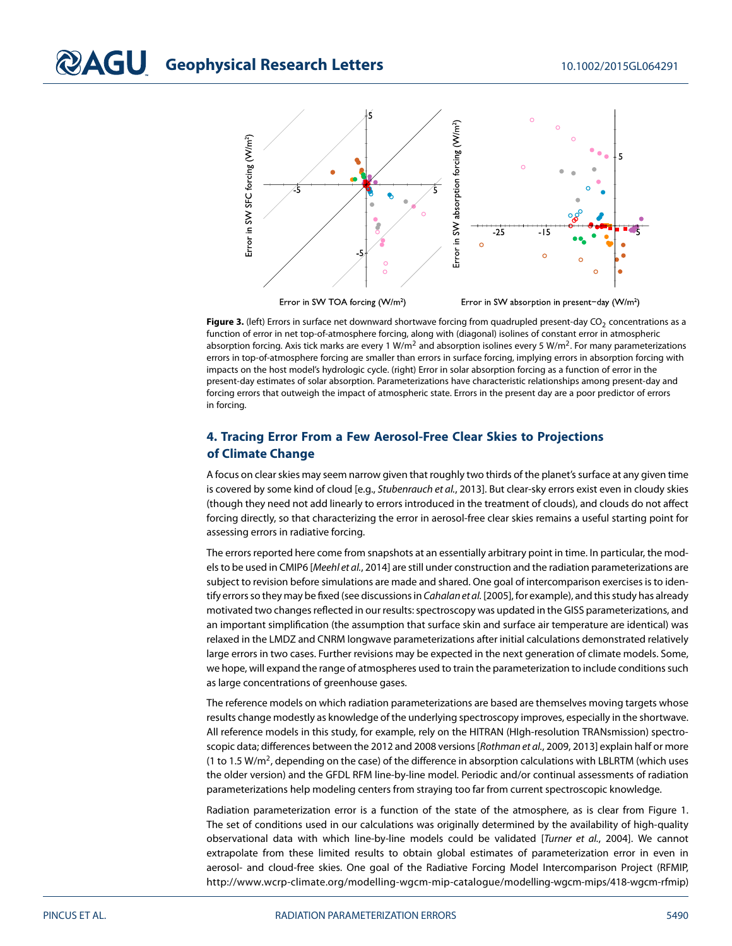

<span id="page-5-0"></span>Figure 3. (left) Errors in surface net downward shortwave forcing from quadrupled present-day CO<sub>2</sub> concentrations as a function of error in net top-of-atmosphere forcing, along with (diagonal) isolines of constant error in atmospheric absorption forcing. Axis tick marks are every 1 W/m<sup>2</sup> and absorption isolines every 5 W/m<sup>2</sup>. For many parameterizations errors in top-of-atmosphere forcing are smaller than errors in surface forcing, implying errors in absorption forcing with impacts on the host model's hydrologic cycle. (right) Error in solar absorption forcing as a function of error in the present-day estimates of solar absorption. Parameterizations have characteristic relationships among present-day and forcing errors that outweigh the impact of atmospheric state. Errors in the present day are a poor predictor of errors in forcing.

### **4. Tracing Error From a Few Aerosol-Free Clear Skies to Projections of Climate Change**

A focus on clear skies may seem narrow given that roughly two thirds of the planet's surface at any given time is covered by some kind of cloud [e.g., Stubenrauch et al., [2013\]](#page-7-10). But clear-sky errors exist even in cloudy skies (though they need not add linearly to errors introduced in the treatment of clouds), and clouds do not affect forcing directly, so that characterizing the error in aerosol-free clear skies remains a useful starting point for assessing errors in radiative forcing.

The errors reported here come from snapshots at an essentially arbitrary point in time. In particular, the models to be used in CMIP6 [Meehl et al., [2014\]](#page-6-19) are still under construction and the radiation parameterizations are subject to revision before simulations are made and shared. One goal of intercomparison exercises is to iden-tify errors so they may be fixed (see discussions in Cahalan et al. [\[2005\]](#page-6-20), for example), and this study has already motivated two changes reflected in our results: spectroscopy was updated in the GISS parameterizations, and an important simplification (the assumption that surface skin and surface air temperature are identical) was relaxed in the LMDZ and CNRM longwave parameterizations after initial calculations demonstrated relatively large errors in two cases. Further revisions may be expected in the next generation of climate models. Some, we hope, will expand the range of atmospheres used to train the parameterization to include conditions such as large concentrations of greenhouse gases.

The reference models on which radiation parameterizations are based are themselves moving targets whose results change modestly as knowledge of the underlying spectroscopy improves, especially in the shortwave. All reference models in this study, for example, rely on the HITRAN (HIgh-resolution TRANsmission) spectroscopic data; differences between the 2012 and 2008 versions [Rothman et al., [2009,](#page-7-11) [2013\]](#page-7-12) explain half or more (1 to 1.5 W/m<sup>2</sup>, depending on the case) of the difference in absorption calculations with LBLRTM (which uses the older version) and the GFDL RFM line-by-line model. Periodic and/or continual assessments of radiation parameterizations help modeling centers from straying too far from current spectroscopic knowledge.

Radiation parameterization error is a function of the state of the atmosphere, as is clear from Figure [1.](#page-3-0) The set of conditions used in our calculations was originally determined by the availability of high-quality observational data with which line-by-line models could be validated [Turner et al., [2004\]](#page-7-0). We cannot extrapolate from these limited results to obtain global estimates of parameterization error in even in aerosol- and cloud-free skies. One goal of the Radiative Forcing Model Intercomparison Project (RFMIP, [http://www.wcrp-climate.org/modelling-wgcm-mip-catalogue/modelling-wgcm-mips/418-wgcm-rfmip\)](http://www.wcrp-climate.org/modelling-wgcm-mip-catalogue/modelling-wgcm-mips/418-wgcm-rfmip)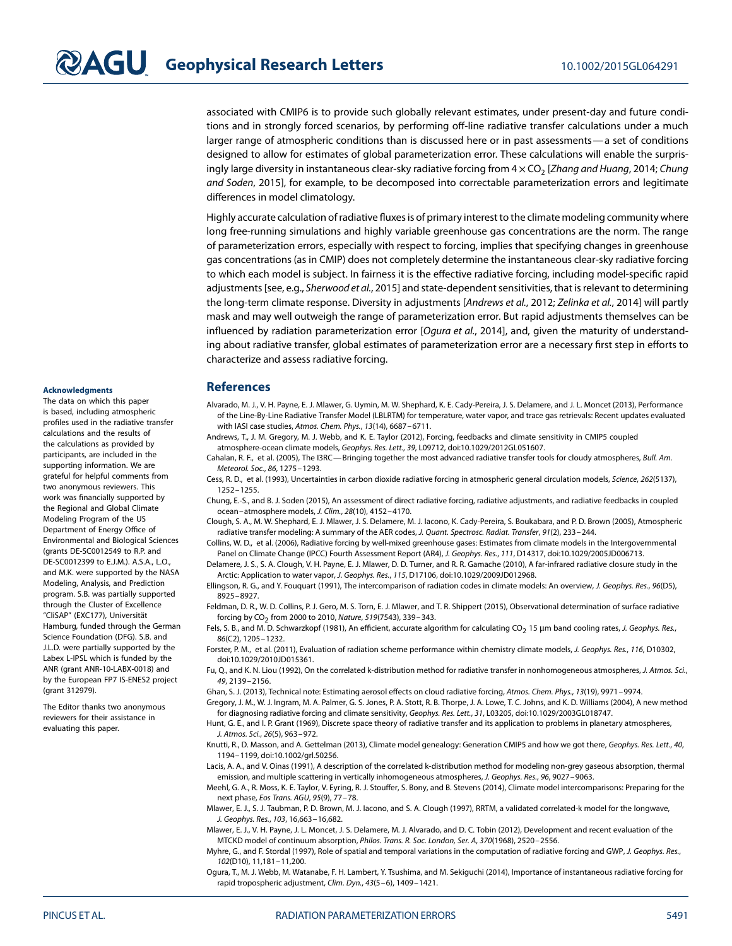associated with CMIP6 is to provide such globally relevant estimates, under present-day and future conditions and in strongly forced scenarios, by performing off-line radiative transfer calculations under a much larger range of atmospheric conditions than is discussed here or in past assessments—a set of conditions designed to allow for estimates of global parameterization error. These calculations will enable the surprisingly large diversity in instantaneous clear-sky radiative forcing from  $4 \times CO<sub>2</sub>$  [Zhang and Huang, [2014;](#page-7-6) Chung and Soden, [2015\]](#page-6-12), for example, to be decomposed into correctable parameterization errors and legitimate differences in model climatology.

Highly accurate calculation of radiative fluxes is of primary interest to the climate modeling community where long free-running simulations and highly variable greenhouse gas concentrations are the norm. The range of parameterization errors, especially with respect to forcing, implies that specifying changes in greenhouse gas concentrations (as in CMIP) does not completely determine the instantaneous clear-sky radiative forcing to which each model is subject. In fairness it is the effective radiative forcing, including model-specific rapid adjustments [see, e.g., Sherwood et al., [2015\]](#page-7-13) and state-dependent sensitivities, that is relevant to determining the long-term climate response. Diversity in adjustments [Andrews et al., [2012;](#page-6-21) Zelinka et al., [2014\]](#page-7-14) will partly mask and may well outweigh the range of parameterization error. But rapid adjustments themselves can be influenced by radiation parameterization error [Oqura et al., [2014\]](#page-6-22), and, given the maturity of understanding about radiative transfer, global estimates of parameterization error are a necessary first step in efforts to characterize and assess radiative forcing.

### <span id="page-6-0"></span>**References**

- Alvarado, M. J., V. H. Payne, E. J. Mlawer, G. Uymin, M. W. Shephard, K. E. Cady-Pereira, J. S. Delamere, and J. L. Moncet (2013), Performance of the Line-By-Line Radiative Transfer Model (LBLRTM) for temperature, water vapor, and trace gas retrievals: Recent updates evaluated with IASI case studies, Atmos. Chem. Phys., 13(14), 6687–6711.
- <span id="page-6-21"></span>Andrews, T., J. M. Gregory, M. J. Webb, and K. E. Taylor (2012), Forcing, feedbacks and climate sensitivity in CMIP5 coupled atmosphere-ocean climate models, Geophys. Res. Lett., 39, L09712, doi[:10.1029/2012GL051607.](http://dx.doi.org/10.1029/2012GL051607)
- <span id="page-6-20"></span>Cahalan, R. F., et al. (2005), The I3RC—Bringing together the most advanced radiative transfer tools for cloudy atmospheres, Bull. Am. Meteorol. Soc., 86, 1275–1293.
- <span id="page-6-8"></span>Cess, R. D., et al. (1993), Uncertainties in carbon dioxide radiative forcing in atmospheric general circulation models, Science, 262(5137), 1252–1255.
- <span id="page-6-12"></span>Chung, E.-S., and B. J. Soden (2015), An assessment of direct radiative forcing, radiative adjustments, and radiative feedbacks in coupled ocean–atmosphere models, J. Clim., 28(10), 4152–4170.
- <span id="page-6-14"></span>Clough, S. A., M. W. Shephard, E. J. Mlawer, J. S. Delamere, M. J. Iacono, K. Cady-Pereira, S. Boukabara, and P. D. Brown (2005), Atmospheric radiative transfer modeling: A summary of the AER codes, J. Quant. Spectrosc. Radiat. Transfer, 91(2), 233–244.
- <span id="page-6-16"></span><span id="page-6-9"></span>Collins, W. D., et al. (2006), Radiative forcing by well-mixed greenhouse gases: Estimates from climate models in the Intergovernmental Panel on Climate Change (IPCC) Fourth Assessment Report (AR4), J. Geophys. Res., 111, D14317, doi[:10.1029/2005JD006713.](http://dx.doi.org/10.1029/2005JD006713)
- <span id="page-6-13"></span><span id="page-6-10"></span><span id="page-6-7"></span><span id="page-6-6"></span><span id="page-6-5"></span><span id="page-6-3"></span><span id="page-6-2"></span><span id="page-6-1"></span>Delamere, J. S., S. A. Clough, V. H. Payne, E. J. Mlawer, D. D. Turner, and R. R. Gamache (2010), A far-infrared radiative closure study in the Arctic: Application to water vapor, J. Geophys. Res., 115, D17106, doi[:10.1029/2009JD012968.](http://dx.doi.org/10.1029/2009JD012968)
	- Ellingson, R. G., and Y. Fouquart (1991), The intercomparison of radiation codes in climate models: An overview, J. Geophys. Res., 96(D5), 8925–8927.
	- Feldman, D. R., W. D. Collins, P. J. Gero, M. S. Torn, E. J. Mlawer, and T. R. Shippert (2015), Observational determination of surface radiative forcing by  $CO_2$  from 2000 to 2010, Nature, 519(7543), 339-343.
	- Fels, S. B., and M. D. Schwarzkopf (1981), An efficient, accurate algorithm for calculating CO<sub>2</sub> 15 µm band cooling rates, J. Geophys. Res., 86(C2), 1205–1232.
	- Forster, P. M., et al. (2011), Evaluation of radiation scheme performance within chemistry climate models, J. Geophys. Res., 116, D10302, doi[:10.1029/2010JD015361.](http://dx.doi.org/10.1029/2010JD015361)
	- Fu, Q., and K. N. Liou (1992), On the correlated k-distribution method for radiative transfer in nonhomogeneous atmospheres, J. Atmos. Sci., 49, 2139–2156.
	- Ghan, S. J. (2013), Technical note: Estimating aerosol effects on cloud radiative forcing, Atmos. Chem. Phys., 13(19), 9971–9974.
	- Gregory, J. M., W. J. Ingram, M. A. Palmer, G. S. Jones, P. A. Stott, R. B. Thorpe, J. A. Lowe, T. C. Johns, and K. D. Williams (2004), A new method for diagnosing radiative forcing and climate sensitivity, Geophys. Res. Lett., 31, L03205, doi[:10.1029/2003GL018747.](http://dx.doi.org/10.1029/2003GL018747)
	- Hunt, G. E., and I. P. Grant (1969), Discrete space theory of radiative transfer and its application to problems in planetary atmospheres, J. Atmos. Sci., 26(5), 963–972.
	- Knutti, R., D. Masson, and A. Gettelman (2013), Climate model genealogy: Generation CMIP5 and how we got there, Geophys. Res. Lett., 40, 1194–1199, doi[:10.1002/grl.50256.](http://dx.doi.org/10.1002/grl.50256)
	- Lacis, A. A., and V. Oinas (1991), A description of the correlated k-distribution method for modeling non-grey gaseous absorption, thermal emission, and multiple scattering in vertically inhomogeneous atmospheres, J. Geophys. Res., 96, 9027–9063.
	- Meehl, G. A., R. Moss, K. E. Taylor, V. Eyring, R. J. Stouffer, S. Bony, and B. Stevens (2014), Climate model intercomparisons: Preparing for the next phase, Eos Trans. AGU, 95(9), 77–78.
	- Mlawer, E. J., S. J. Taubman, P. D. Brown, M. J. Iacono, and S. A. Clough (1997), RRTM, a validated correlated-k model for the longwave, J. Geophys. Res., 103, 16,663–16,682.
	- Mlawer, E. J., V. H. Payne, J. L. Moncet, J. S. Delamere, M. J. Alvarado, and D. C. Tobin (2012), Development and recent evaluation of the MTCKD model of continuum absorption, Philos. Trans. R. Soc. London, Ser. A, 370(1968), 2520–2556.
	- Myhre, G., and F. Stordal (1997), Role of spatial and temporal variations in the computation of radiative forcing and GWP, J. Geophys. Res., 102(D10), 11,181–11,200.
	- Ogura, T., M. J. Webb, M. Watanabe, F. H. Lambert, Y. Tsushima, and M. Sekiguchi (2014), Importance of instantaneous radiative forcing for rapid tropospheric adjustment, Clim. Dyn., 43(5–6), 1409–1421.

#### **Acknowledgments**

The data on which this paper is based, including atmospheric profiles used in the radiative transfer calculations and the results of the calculations as provided by participants, are included in the supporting information. We are grateful for helpful comments from two anonymous reviewers. This work was financially supported by the Regional and Global Climate Modeling Program of the US Department of Energy Office of Environmental and Biological Sciences (grants DE-SC0012549 to R.P. and DE-SC0012399 to E.J.M.). A.S.A., L.O., and M.K. were supported by the NASA Modeling, Analysis, and Prediction program. S.B. was partially supported through the Cluster of Excellence "CliSAP" (EXC177), Universität Hamburg, funded through the German Science Foundation (DFG). S.B. and J.L.D. were partially supported by the Labex L-IPSL which is funded by the ANR (grant ANR-10-LABX-0018) and by the European FP7 IS-ENES2 project (grant 312979).

<span id="page-6-22"></span><span id="page-6-19"></span><span id="page-6-18"></span><span id="page-6-17"></span><span id="page-6-15"></span><span id="page-6-11"></span><span id="page-6-4"></span>The Editor thanks two anonymous reviewers for their assistance in evaluating this paper.